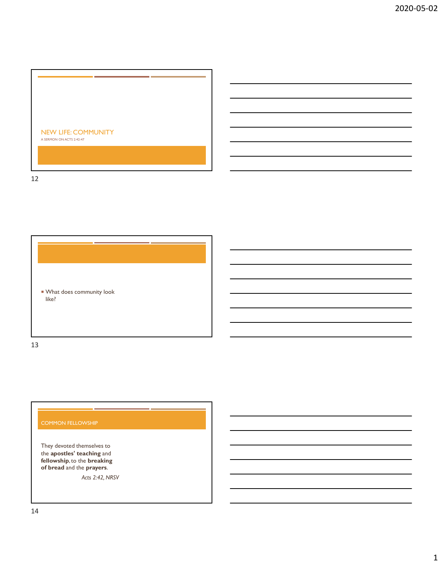

12



13

## COMMON FELLOWSHIP

They devoted themselves to the apostles' teaching and fellowship, to the breaking of bread and the prayers.

Acts 2:42, NRSV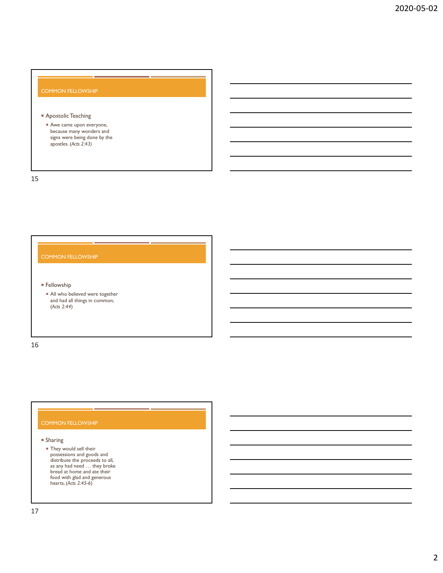### COMMON FELLOWSHIP

### **Apostolic Teaching**

Awe came upon everyone, because many wonders and signs were being done by the apostles. (Acts 2:43)

15

# COMMON FELLOWSHIP

**Fellowship** 

All who believed were together and had all things in common; (Acts 2:44)

16

### COMMON FELLOWSHIP

### Sharing

 They would sell their possessions and goods and distribute the proceeds to all, and had all they believed were together<br>and had all things in commons<br>radial data things in commons<br>(Acts 2:44)<br>they would sell their<br>proceeds to all<br>proceeds to all<br>proceed is a proceed in the proceed<br>is any had need ... bread at home and ate their food with glad and generous hearts, (Acts 2:45-6)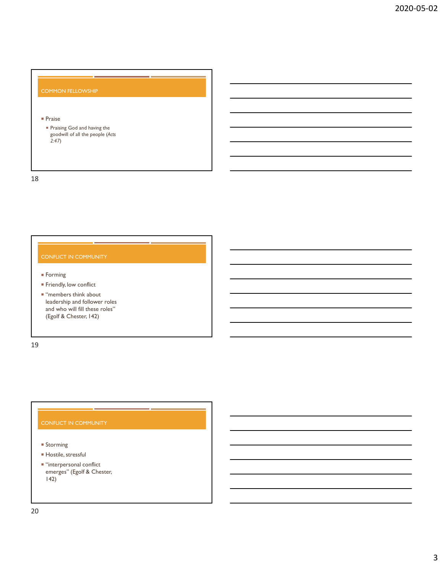## COMMON FELLOWSHIP

## **Praise**

 Praising God and having the goodwill of all the people (Acts 2:47)

18

- **Forming**
- **Fiendly, low conflict**
- "Praise<br>
"Praise God and having the<br>
goodwill of all the people (Acts<br>
2:47)<br>
COMFLICT IN COMMUNITY<br>
"Freming<br>
"Firendy, low conflict<br>
"Hermbrast bink about<br>
"leadership and follower roles<br>
and who will fill these roles"<br> Praise<br>
Praising God and having the<br>
Praising Sol and having the<br>
2:47)<br>
Discreption of all the people (Acts<br>
2:47)<br>
The mehers think about<br>
The mehers that about the model of the state of the state of the state of the sta <sup>a</sup> Praising God and having the<br>
goodwill of all the people (Acts<br>
2.47)<br>
<br> **DNIFILICT IN COMMUNITY**<br>
Forming<br>
Friendly, low conflict<br>
"members think about<br>
and who will fill these roles"<br>
(Egorf & Chester, 142) - Training would hall the people (Acts<br>
2004vill of all the people (Acts<br>
2.47)<br>
DNFLICT IN COMMUNITY<br>
Friendly, low conflict<br>
"Training Friendly, low conflict<br>
"Training Friendly, low conflict<br>
and who will fill these rol Friendy, low conflict<br>
"members think about<br>cancers in a bilower roles"<br>and who will fill these roles"<br>(Egolf & Chester, 142)<br>
(Egolf & Chester, 142)<br>
<br>
Divince<br>
Hocsile, stressful<br>
""interpersonal conflict"<br>
"interpersona

19

- **Storming**
- **Hostile**, stressful
- $\blacksquare$  "interpersonal conflict 142)